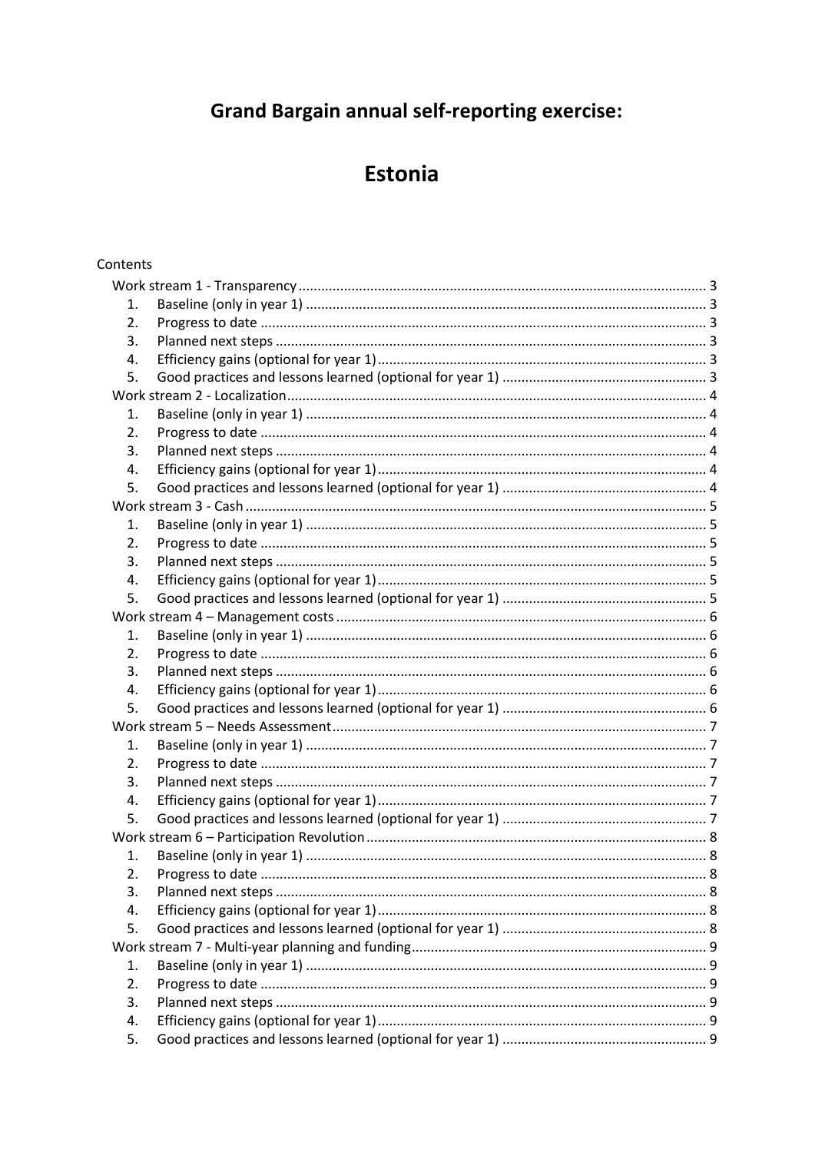# **Grand Bargain annual self-reporting exercise:**

# **Estonia**

# Contents

| 1.               |  |  |
|------------------|--|--|
| 2.               |  |  |
| 3.               |  |  |
| 4.               |  |  |
| 5.               |  |  |
|                  |  |  |
| 1.               |  |  |
| 2.               |  |  |
| 3.               |  |  |
| 4.               |  |  |
| 5.               |  |  |
|                  |  |  |
| 1.               |  |  |
| 2.               |  |  |
| 3.               |  |  |
| 4.               |  |  |
| 5.               |  |  |
|                  |  |  |
| 1.               |  |  |
| 2.               |  |  |
| 3.               |  |  |
| 4.               |  |  |
| 5.               |  |  |
|                  |  |  |
| 1.               |  |  |
| $\overline{2}$ . |  |  |
| 3.               |  |  |
| 4.               |  |  |
| 5.               |  |  |
|                  |  |  |
| 1.               |  |  |
| 2.               |  |  |
| 3.               |  |  |
| 4.               |  |  |
| 5.               |  |  |
|                  |  |  |
| 1.               |  |  |
| 2.               |  |  |
| 3.               |  |  |
| 4.               |  |  |
| 5.               |  |  |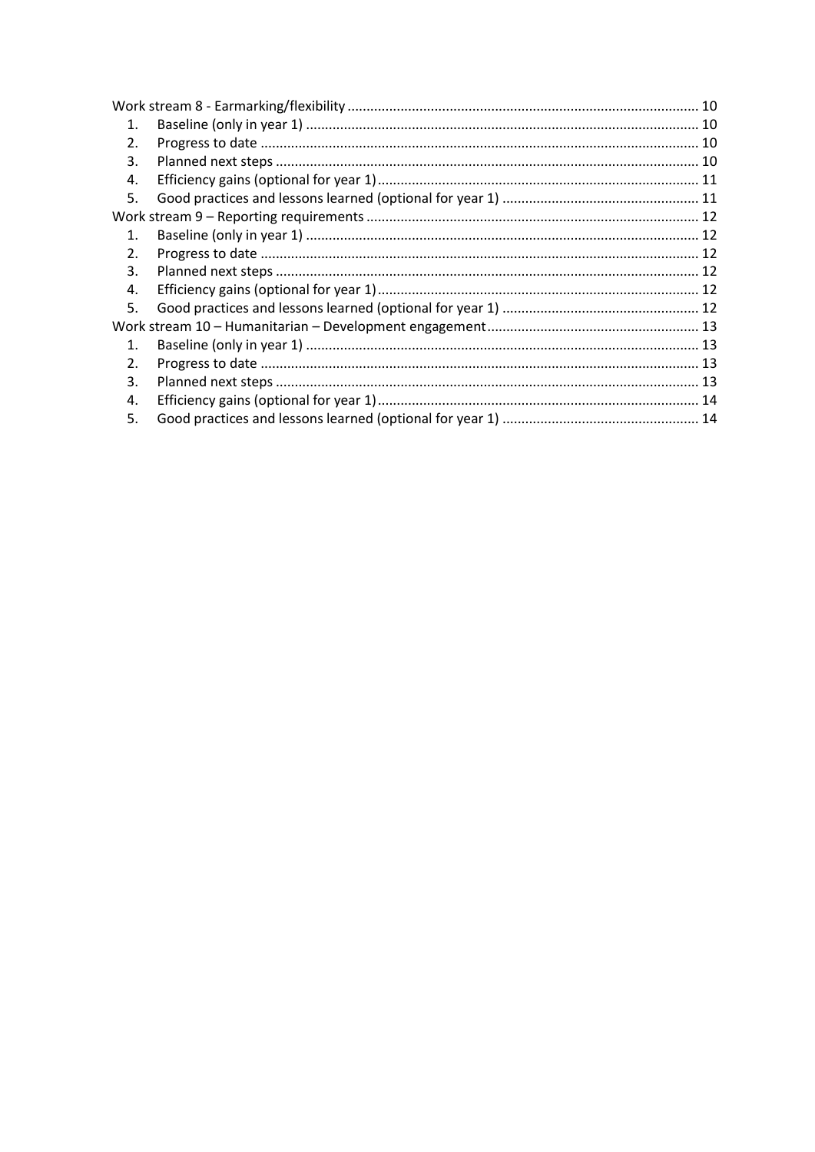| 1.               |  |  |
|------------------|--|--|
| $\mathfrak{D}$ . |  |  |
| 3.               |  |  |
| 4.               |  |  |
| 5.               |  |  |
|                  |  |  |
| $1_{-}$          |  |  |
| 2 <sub>1</sub>   |  |  |
| 3.               |  |  |
| 4.               |  |  |
| 5.               |  |  |
|                  |  |  |
| $1_{-}$          |  |  |
| 2.               |  |  |
| 3.               |  |  |
| 4.               |  |  |
| 5.               |  |  |
|                  |  |  |
|                  |  |  |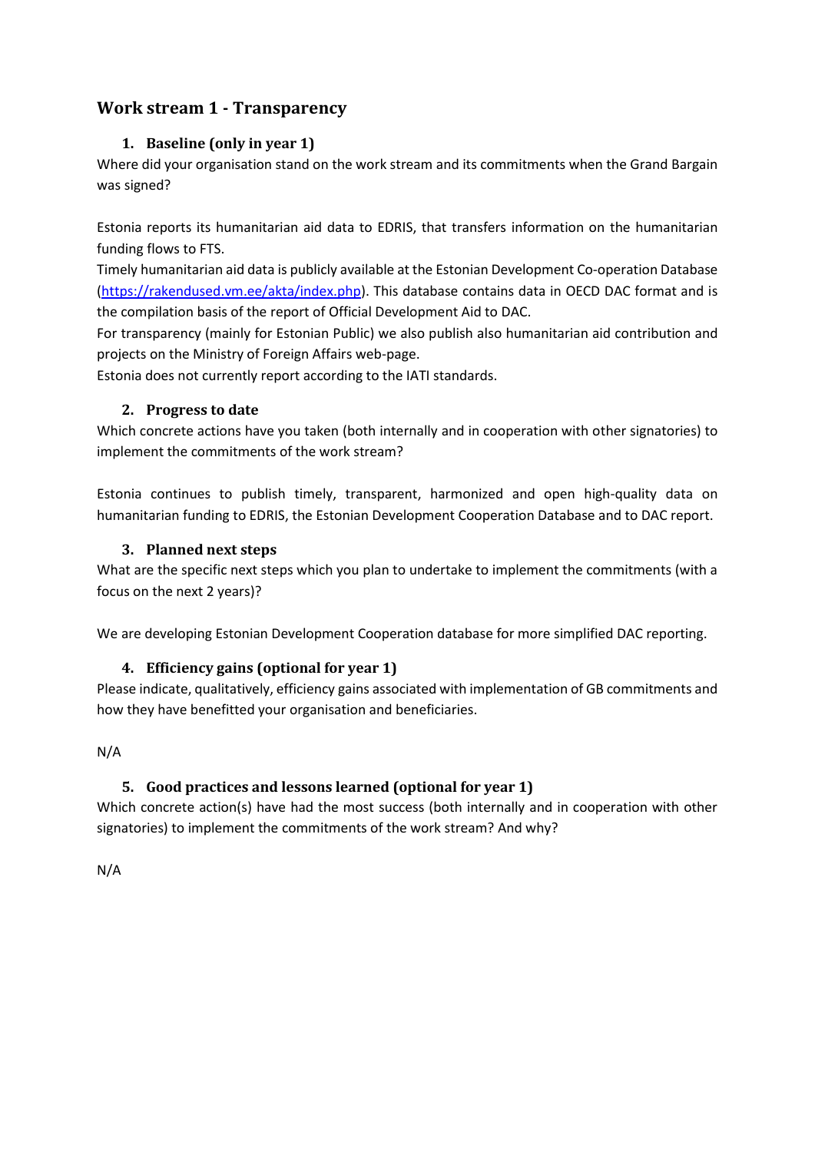# <span id="page-2-1"></span><span id="page-2-0"></span>**Work stream 1 - Transparency**

# **1. Baseline (only in year 1)**

Where did your organisation stand on the work stream and its commitments when the Grand Bargain was signed?

Estonia reports its humanitarian aid data to EDRIS, that transfers information on the humanitarian funding flows to FTS.

Timely humanitarian aid data is publicly available at the Estonian Development Co-operation Database [\(https://rakendused.vm.ee/akta/index.php\)](https://rakendused.vm.ee/akta/index.php). This database contains data in OECD DAC format and is the compilation basis of the report of Official Development Aid to DAC.

For transparency (mainly for Estonian Public) we also publish also humanitarian aid contribution and projects on the Ministry of Foreign Affairs web-page.

<span id="page-2-2"></span>Estonia does not currently report according to the IATI standards.

# **2. Progress to date**

Which concrete actions have you taken (both internally and in cooperation with other signatories) to implement the commitments of the work stream?

Estonia continues to publish timely, transparent, harmonized and open high-quality data on humanitarian funding to EDRIS, the Estonian Development Cooperation Database and to DAC report.

# <span id="page-2-3"></span>**3. Planned next steps**

What are the specific next steps which you plan to undertake to implement the commitments (with a focus on the next 2 years)?

<span id="page-2-4"></span>We are developing Estonian Development Cooperation database for more simplified DAC reporting.

# **4. Efficiency gains (optional for year 1)**

Please indicate, qualitatively, efficiency gains associated with implementation of GB commitments and how they have benefitted your organisation and beneficiaries.

<span id="page-2-5"></span>N/A

# **5. Good practices and lessons learned (optional for year 1)**

Which concrete action(s) have had the most success (both internally and in cooperation with other signatories) to implement the commitments of the work stream? And why?

N/A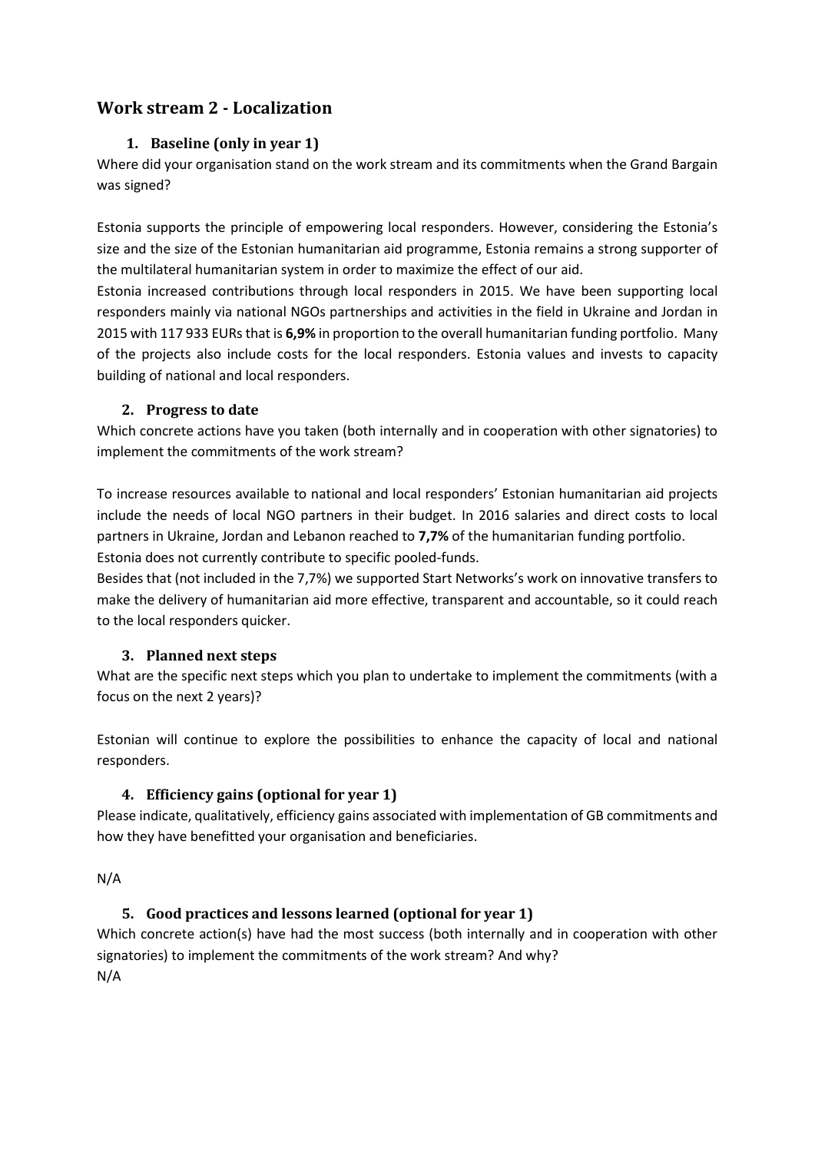# <span id="page-3-1"></span><span id="page-3-0"></span>**Work stream 2 - Localization**

# **1. Baseline (only in year 1)**

Where did your organisation stand on the work stream and its commitments when the Grand Bargain was signed?

Estonia supports the principle of empowering local responders. However, considering the Estonia's size and the size of the Estonian humanitarian aid programme, Estonia remains a strong supporter of the multilateral humanitarian system in order to maximize the effect of our aid.

Estonia increased contributions through local responders in 2015. We have been supporting local responders mainly via national NGOs partnerships and activities in the field in Ukraine and Jordan in 2015 with 117 933 EURs that is **6,9%** in proportion to the overall humanitarian funding portfolio. Many of the projects also include costs for the local responders. Estonia values and invests to capacity building of national and local responders.

#### <span id="page-3-2"></span>**2. Progress to date**

Which concrete actions have you taken (both internally and in cooperation with other signatories) to implement the commitments of the work stream?

To increase resources available to national and local responders' Estonian humanitarian aid projects include the needs of local NGO partners in their budget. In 2016 salaries and direct costs to local partners in Ukraine, Jordan and Lebanon reached to **7,7%** of the humanitarian funding portfolio. Estonia does not currently contribute to specific pooled-funds.

Besides that (not included in the 7,7%) we supported Start Networks's work on innovative transfers to make the delivery of humanitarian aid more effective, transparent and accountable, so it could reach to the local responders quicker.

# <span id="page-3-3"></span>**3. Planned next steps**

What are the specific next steps which you plan to undertake to implement the commitments (with a focus on the next 2 years)?

Estonian will continue to explore the possibilities to enhance the capacity of local and national responders.

# <span id="page-3-4"></span>**4. Efficiency gains (optional for year 1)**

Please indicate, qualitatively, efficiency gains associated with implementation of GB commitments and how they have benefitted your organisation and beneficiaries.

<span id="page-3-5"></span>N/A

# **5. Good practices and lessons learned (optional for year 1)**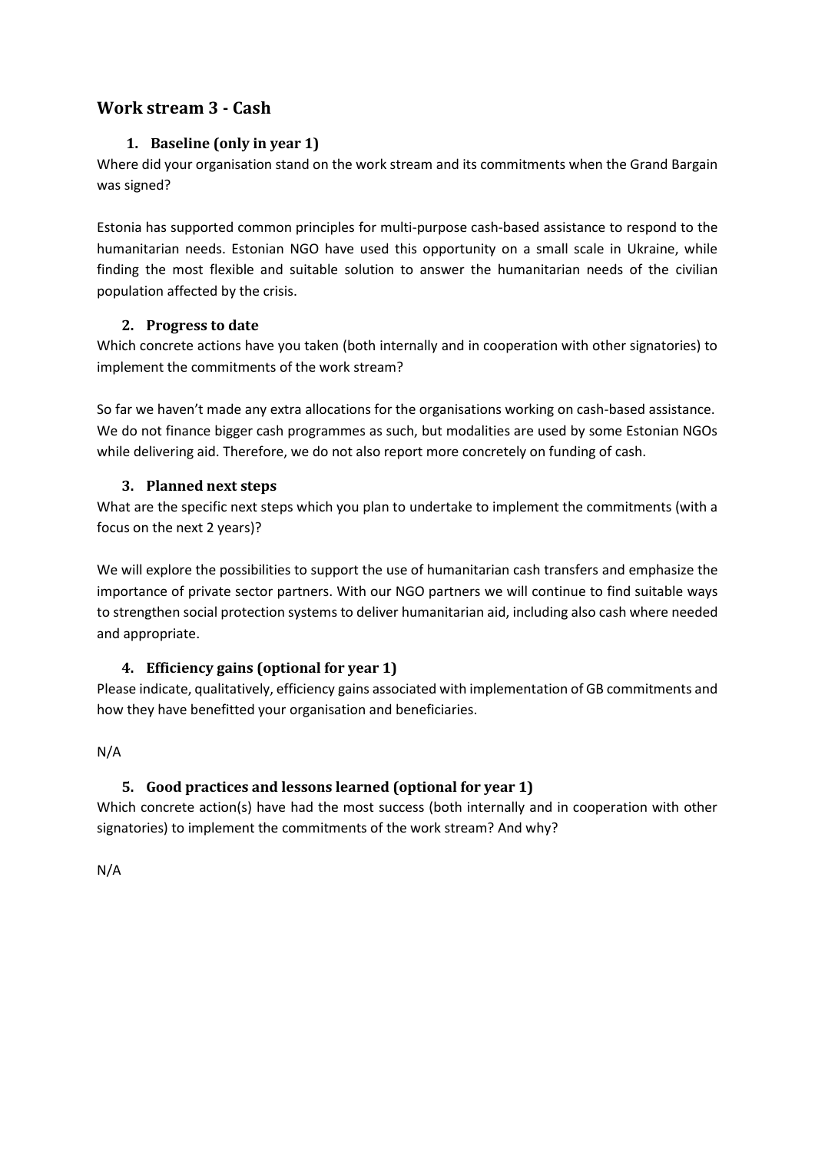# <span id="page-4-1"></span><span id="page-4-0"></span>**Work stream 3 - Cash**

# **1. Baseline (only in year 1)**

Where did your organisation stand on the work stream and its commitments when the Grand Bargain was signed?

Estonia has supported common principles for multi-purpose cash-based assistance to respond to the humanitarian needs. Estonian NGO have used this opportunity on a small scale in Ukraine, while finding the most flexible and suitable solution to answer the humanitarian needs of the civilian population affected by the crisis.

# <span id="page-4-2"></span>**2. Progress to date**

Which concrete actions have you taken (both internally and in cooperation with other signatories) to implement the commitments of the work stream?

So far we haven't made any extra allocations for the organisations working on cash-based assistance. We do not finance bigger cash programmes as such, but modalities are used by some Estonian NGOs while delivering aid. Therefore, we do not also report more concretely on funding of cash.

# <span id="page-4-3"></span>**3. Planned next steps**

What are the specific next steps which you plan to undertake to implement the commitments (with a focus on the next 2 years)?

We will explore the possibilities to support the use of humanitarian cash transfers and emphasize the importance of private sector partners. With our NGO partners we will continue to find suitable ways to strengthen social protection systems to deliver humanitarian aid, including also cash where needed and appropriate.

# <span id="page-4-4"></span>**4. Efficiency gains (optional for year 1)**

Please indicate, qualitatively, efficiency gains associated with implementation of GB commitments and how they have benefitted your organisation and beneficiaries.

<span id="page-4-5"></span>N/A

# **5. Good practices and lessons learned (optional for year 1)**

Which concrete action(s) have had the most success (both internally and in cooperation with other signatories) to implement the commitments of the work stream? And why?

N/A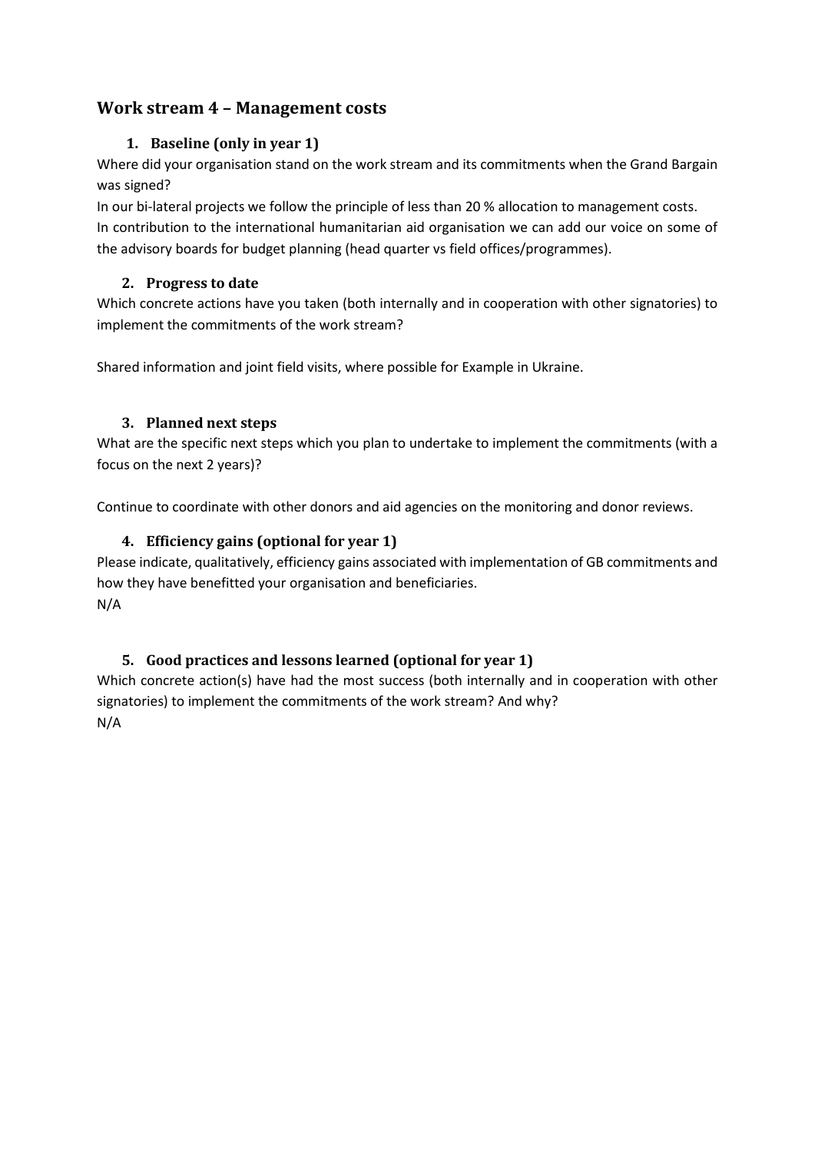# <span id="page-5-1"></span><span id="page-5-0"></span>**Work stream 4 – Management costs**

# **1. Baseline (only in year 1)**

Where did your organisation stand on the work stream and its commitments when the Grand Bargain was signed?

In our bi-lateral projects we follow the principle of less than 20 % allocation to management costs. In contribution to the international humanitarian aid organisation we can add our voice on some of the advisory boards for budget planning (head quarter vs field offices/programmes).

# <span id="page-5-2"></span>**2. Progress to date**

Which concrete actions have you taken (both internally and in cooperation with other signatories) to implement the commitments of the work stream?

Shared information and joint field visits, where possible for Example in Ukraine.

# <span id="page-5-3"></span>**3. Planned next steps**

What are the specific next steps which you plan to undertake to implement the commitments (with a focus on the next 2 years)?

<span id="page-5-4"></span>Continue to coordinate with other donors and aid agencies on the monitoring and donor reviews.

# **4. Efficiency gains (optional for year 1)**

Please indicate, qualitatively, efficiency gains associated with implementation of GB commitments and how they have benefitted your organisation and beneficiaries. N/A

# <span id="page-5-5"></span>**5. Good practices and lessons learned (optional for year 1)**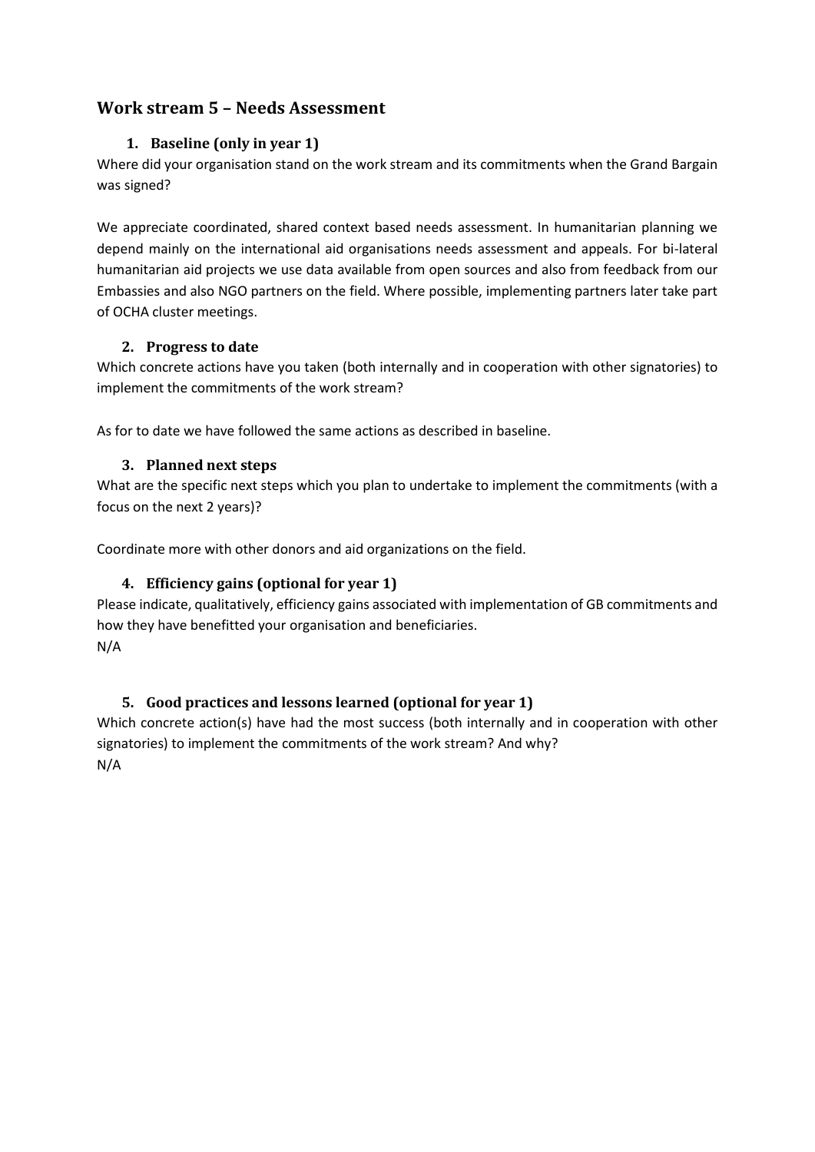# <span id="page-6-1"></span><span id="page-6-0"></span>**Work stream 5 – Needs Assessment**

# **1. Baseline (only in year 1)**

Where did your organisation stand on the work stream and its commitments when the Grand Bargain was signed?

We appreciate coordinated, shared context based needs assessment. In humanitarian planning we depend mainly on the international aid organisations needs assessment and appeals. For bi-lateral humanitarian aid projects we use data available from open sources and also from feedback from our Embassies and also NGO partners on the field. Where possible, implementing partners later take part of OCHA cluster meetings.

# <span id="page-6-2"></span>**2. Progress to date**

Which concrete actions have you taken (both internally and in cooperation with other signatories) to implement the commitments of the work stream?

<span id="page-6-3"></span>As for to date we have followed the same actions as described in baseline.

# **3. Planned next steps**

What are the specific next steps which you plan to undertake to implement the commitments (with a focus on the next 2 years)?

<span id="page-6-4"></span>Coordinate more with other donors and aid organizations on the field.

# **4. Efficiency gains (optional for year 1)**

Please indicate, qualitatively, efficiency gains associated with implementation of GB commitments and how they have benefitted your organisation and beneficiaries. N/A

# <span id="page-6-5"></span>**5. Good practices and lessons learned (optional for year 1)**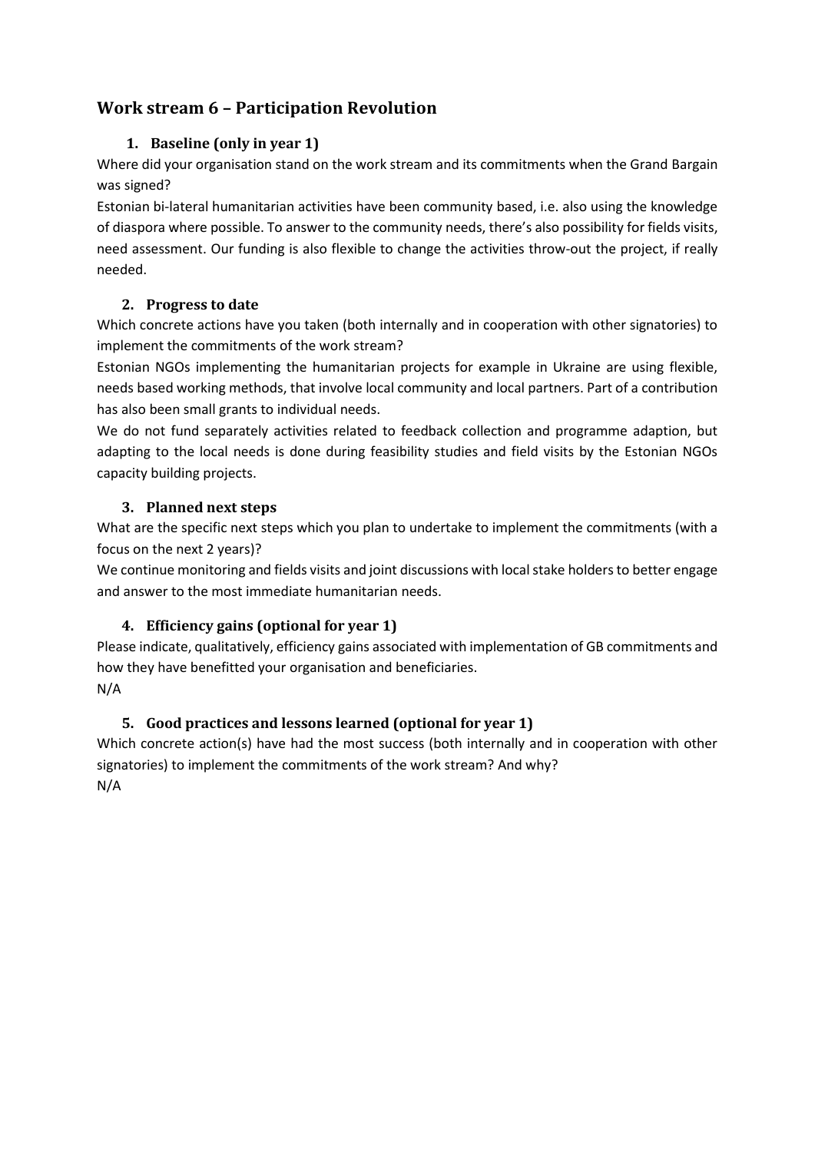# <span id="page-7-1"></span><span id="page-7-0"></span>**Work stream 6 – Participation Revolution**

# **1. Baseline (only in year 1)**

Where did your organisation stand on the work stream and its commitments when the Grand Bargain was signed?

Estonian bi-lateral humanitarian activities have been community based, i.e. also using the knowledge of diaspora where possible. To answer to the community needs, there's also possibility for fields visits, need assessment. Our funding is also flexible to change the activities throw-out the project, if really needed.

# <span id="page-7-2"></span>**2. Progress to date**

Which concrete actions have you taken (both internally and in cooperation with other signatories) to implement the commitments of the work stream?

Estonian NGOs implementing the humanitarian projects for example in Ukraine are using flexible, needs based working methods, that involve local community and local partners. Part of a contribution has also been small grants to individual needs.

We do not fund separately activities related to feedback collection and programme adaption, but adapting to the local needs is done during feasibility studies and field visits by the Estonian NGOs capacity building projects.

# <span id="page-7-3"></span>**3. Planned next steps**

What are the specific next steps which you plan to undertake to implement the commitments (with a focus on the next 2 years)?

We continue monitoring and fields visits and joint discussions with local stake holders to better engage and answer to the most immediate humanitarian needs.

# <span id="page-7-4"></span>**4. Efficiency gains (optional for year 1)**

Please indicate, qualitatively, efficiency gains associated with implementation of GB commitments and how they have benefitted your organisation and beneficiaries. N/A

# <span id="page-7-5"></span>**5. Good practices and lessons learned (optional for year 1)**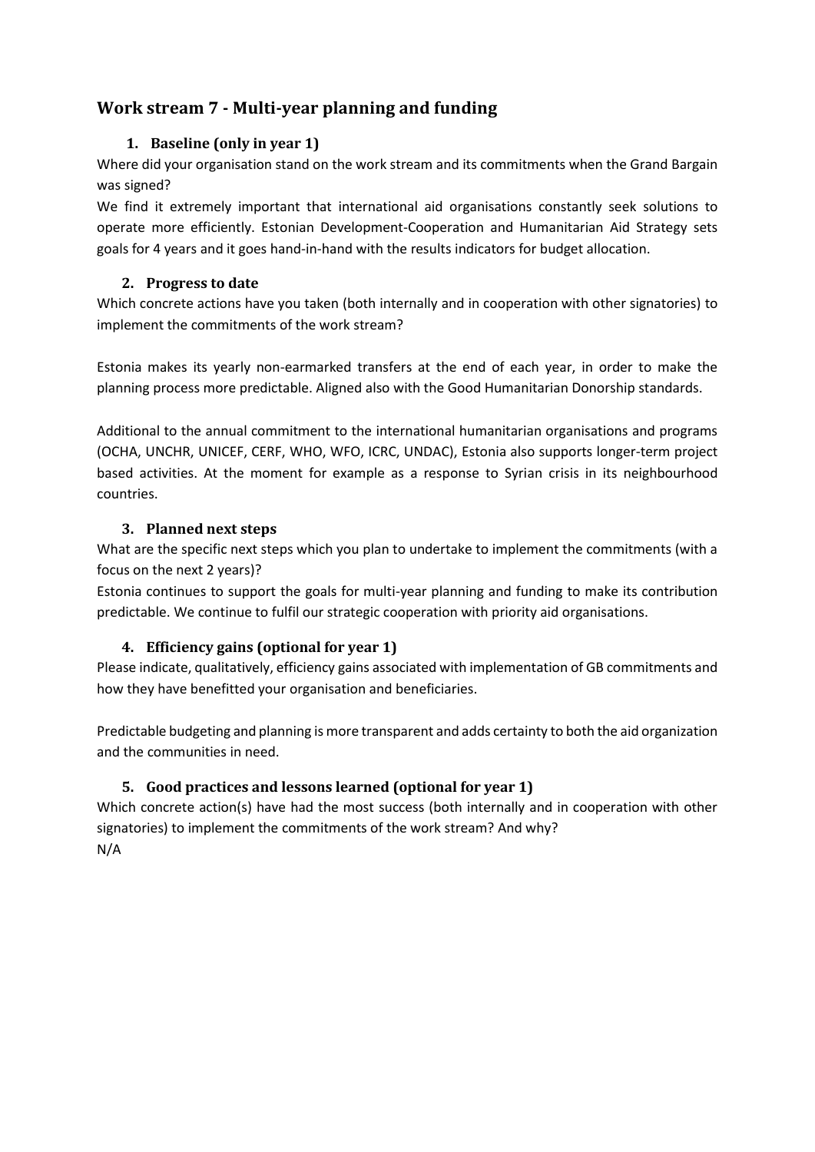# <span id="page-8-1"></span><span id="page-8-0"></span>**Work stream 7 - Multi-year planning and funding**

# **1. Baseline (only in year 1)**

Where did your organisation stand on the work stream and its commitments when the Grand Bargain was signed?

We find it extremely important that international aid organisations constantly seek solutions to operate more efficiently. Estonian Development-Cooperation and Humanitarian Aid Strategy sets goals for 4 years and it goes hand-in-hand with the results indicators for budget allocation.

## <span id="page-8-2"></span>**2. Progress to date**

Which concrete actions have you taken (both internally and in cooperation with other signatories) to implement the commitments of the work stream?

Estonia makes its yearly non-earmarked transfers at the end of each year, in order to make the planning process more predictable. Aligned also with the Good Humanitarian Donorship standards.

Additional to the annual commitment to the international humanitarian organisations and programs (OCHA, UNCHR, UNICEF, CERF, WHO, WFO, ICRC, UNDAC), Estonia also supports longer-term project based activities. At the moment for example as a response to Syrian crisis in its neighbourhood countries.

# <span id="page-8-3"></span>**3. Planned next steps**

What are the specific next steps which you plan to undertake to implement the commitments (with a focus on the next 2 years)?

Estonia continues to support the goals for multi-year planning and funding to make its contribution predictable. We continue to fulfil our strategic cooperation with priority aid organisations.

# <span id="page-8-4"></span>**4. Efficiency gains (optional for year 1)**

Please indicate, qualitatively, efficiency gains associated with implementation of GB commitments and how they have benefitted your organisation and beneficiaries.

Predictable budgeting and planning is more transparent and adds certainty to both the aid organization and the communities in need.

# <span id="page-8-5"></span>**5. Good practices and lessons learned (optional for year 1)**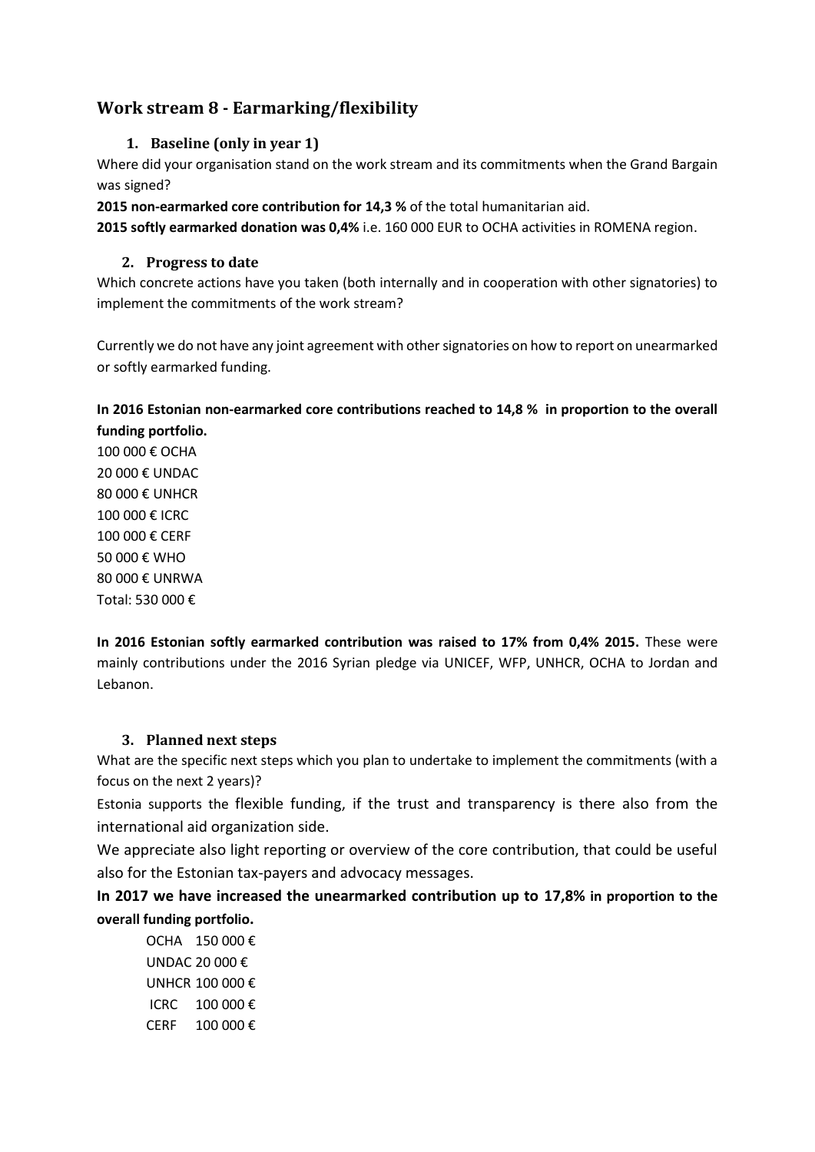# <span id="page-9-1"></span><span id="page-9-0"></span>**Work stream 8 - Earmarking/flexibility**

## **1. Baseline (only in year 1)**

Where did your organisation stand on the work stream and its commitments when the Grand Bargain was signed?

**2015 non-earmarked core contribution for 14,3 %** of the total humanitarian aid.

<span id="page-9-2"></span>**2015 softly earmarked donation was 0,4%** i.e. 160 000 EUR to OCHA activities in ROMENA region.

#### **2. Progress to date**

Which concrete actions have you taken (both internally and in cooperation with other signatories) to implement the commitments of the work stream?

Currently we do not have any joint agreement with other signatories on how to report on unearmarked or softly earmarked funding.

# <span id="page-9-3"></span>**In 2016 Estonian non-earmarked core contributions reached to 14,8 % in proportion to the overall funding portfolio.**

100 000 € OCHA 20 000 € UNDAC 80 000 € UNHCR 100 000 € ICRC 100 000 € CERF 50 000 € WHO 80 000 € UNRWA Total: 530 000 €

**In 2016 Estonian softly earmarked contribution was raised to 17% from 0,4% 2015.** These were mainly contributions under the 2016 Syrian pledge via UNICEF, WFP, UNHCR, OCHA to Jordan and Lebanon.

# **3. Planned next steps**

What are the specific next steps which you plan to undertake to implement the commitments (with a focus on the next 2 years)?

Estonia supports the flexible funding, if the trust and transparency is there also from the international aid organization side.

We appreciate also light reporting or overview of the core contribution, that could be useful also for the Estonian tax-payers and advocacy messages.

**In 2017 we have increased the unearmarked contribution up to 17,8% in proportion to the overall funding portfolio.**

OCHA 150 000 € UNDAC 20 000 € UNHCR 100 000 € ICRC 100 000 € CERF 100 000 €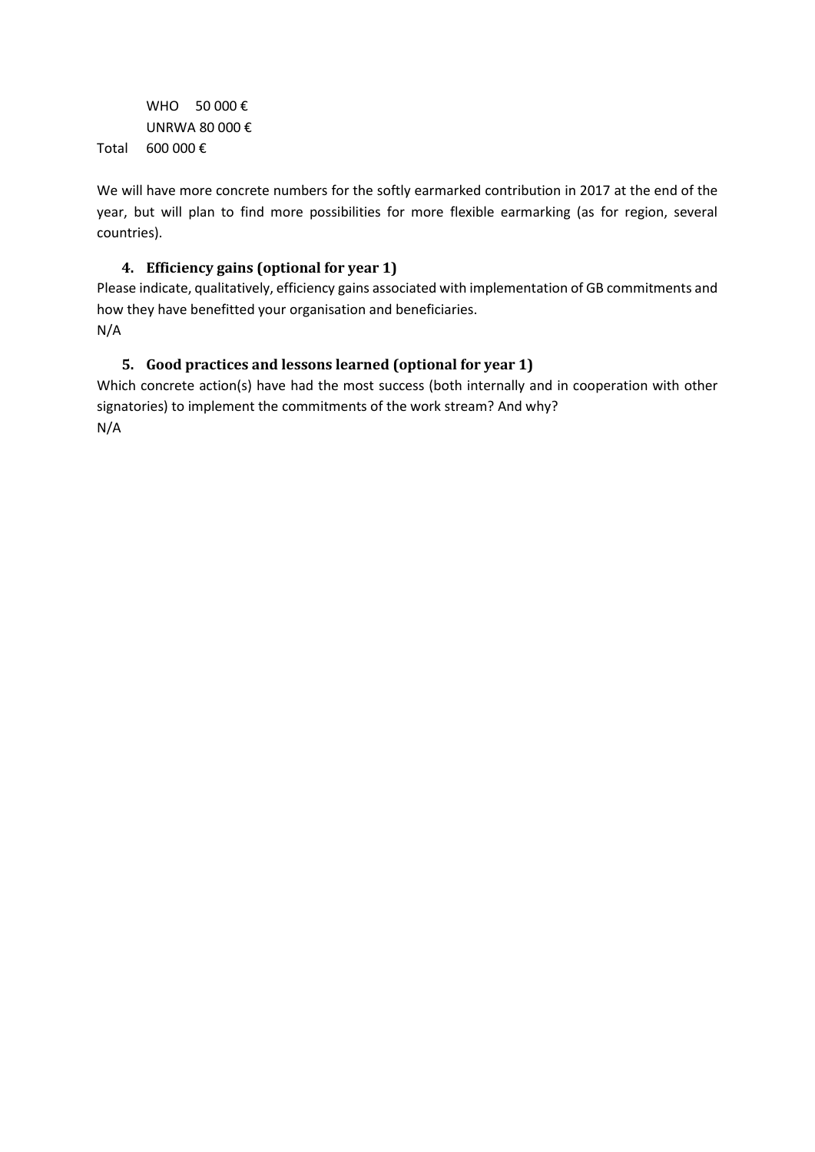WHO  $50000 \in$ UNRWA 80 000 € Total 600 000 €

We will have more concrete numbers for the softly earmarked contribution in 2017 at the end of the year, but will plan to find more possibilities for more flexible earmarking (as for region, several countries).

# <span id="page-10-0"></span>**4. Efficiency gains (optional for year 1)**

Please indicate, qualitatively, efficiency gains associated with implementation of GB commitments and how they have benefitted your organisation and beneficiaries. N/A

# <span id="page-10-1"></span>**5. Good practices and lessons learned (optional for year 1)**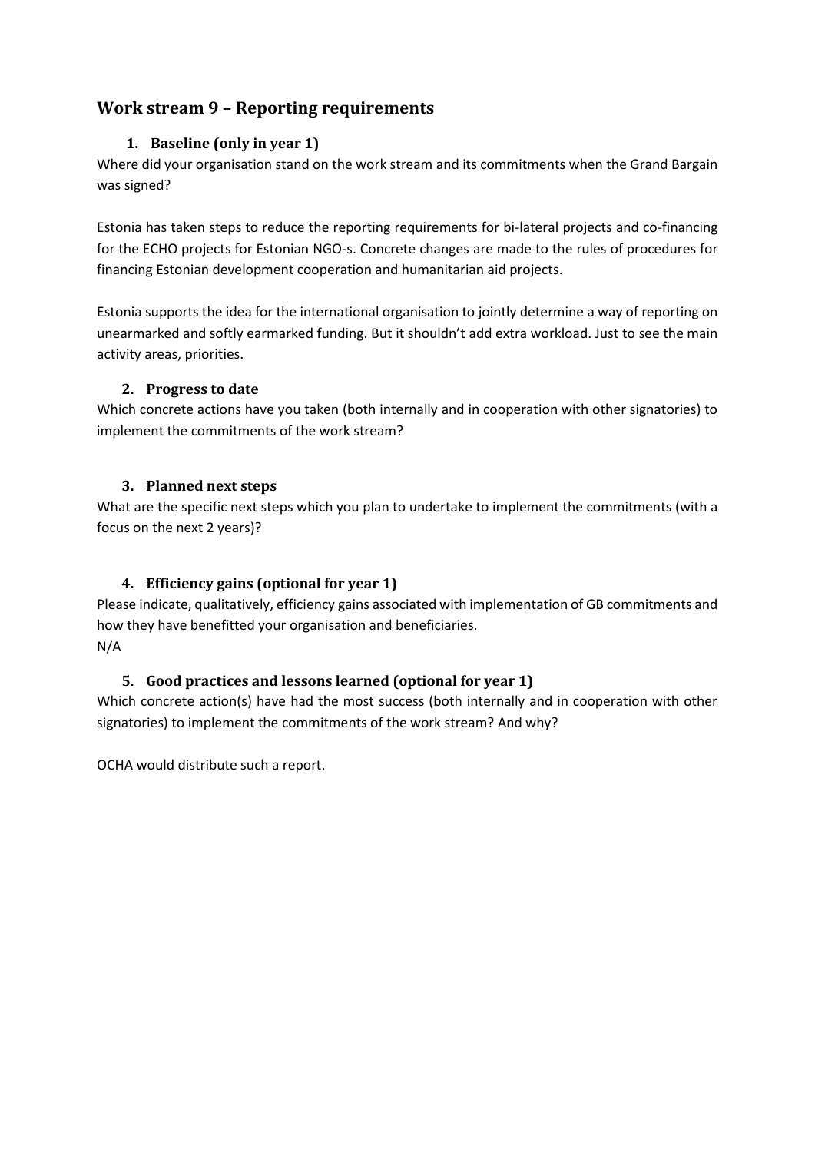# <span id="page-11-1"></span><span id="page-11-0"></span>**Work stream 9 – Reporting requirements**

# **1. Baseline (only in year 1)**

Where did your organisation stand on the work stream and its commitments when the Grand Bargain was signed?

Estonia has taken steps to reduce the reporting requirements for bi-lateral projects and co-financing for the ECHO projects for Estonian NGO-s. Concrete changes are made to the rules of procedures for financing Estonian development cooperation and humanitarian aid projects.

Estonia supports the idea for the international organisation to jointly determine a way of reporting on unearmarked and softly earmarked funding. But it shouldn't add extra workload. Just to see the main activity areas, priorities.

# <span id="page-11-2"></span>**2. Progress to date**

Which concrete actions have you taken (both internally and in cooperation with other signatories) to implement the commitments of the work stream?

# <span id="page-11-3"></span>**3. Planned next steps**

What are the specific next steps which you plan to undertake to implement the commitments (with a focus on the next 2 years)?

# <span id="page-11-4"></span>**4. Efficiency gains (optional for year 1)**

Please indicate, qualitatively, efficiency gains associated with implementation of GB commitments and how they have benefitted your organisation and beneficiaries. N/A

# <span id="page-11-5"></span>**5. Good practices and lessons learned (optional for year 1)**

Which concrete action(s) have had the most success (both internally and in cooperation with other signatories) to implement the commitments of the work stream? And why?

OCHA would distribute such a report.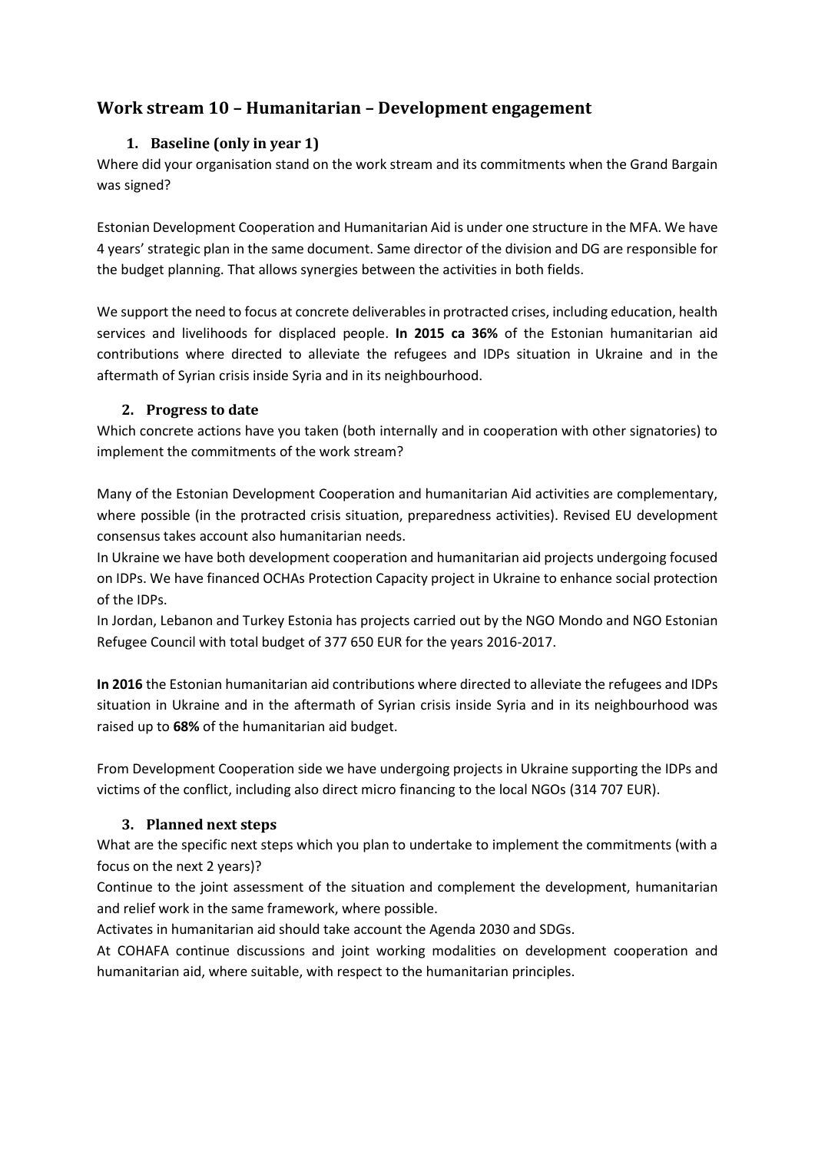# <span id="page-12-1"></span><span id="page-12-0"></span>**Work stream 10 – Humanitarian – Development engagement**

# **1. Baseline (only in year 1)**

Where did your organisation stand on the work stream and its commitments when the Grand Bargain was signed?

Estonian Development Cooperation and Humanitarian Aid is under one structure in the MFA. We have 4 years' strategic plan in the same document. Same director of the division and DG are responsible for the budget planning. That allows synergies between the activities in both fields.

We support the need to focus at concrete deliverables in protracted crises, including education, health services and livelihoods for displaced people. **In 2015 ca 36%** of the Estonian humanitarian aid contributions where directed to alleviate the refugees and IDPs situation in Ukraine and in the aftermath of Syrian crisis inside Syria and in its neighbourhood.

#### <span id="page-12-2"></span>**2. Progress to date**

Which concrete actions have you taken (both internally and in cooperation with other signatories) to implement the commitments of the work stream?

Many of the Estonian Development Cooperation and humanitarian Aid activities are complementary, where possible (in the protracted crisis situation, preparedness activities). Revised EU development consensus takes account also humanitarian needs.

In Ukraine we have both development cooperation and humanitarian aid projects undergoing focused on IDPs. We have financed OCHAs Protection Capacity project in Ukraine to enhance social protection of the IDPs.

In Jordan, Lebanon and Turkey Estonia has projects carried out by the NGO Mondo and NGO Estonian Refugee Council with total budget of 377 650 EUR for the years 2016-2017.

**In 2016** the Estonian humanitarian aid contributions where directed to alleviate the refugees and IDPs situation in Ukraine and in the aftermath of Syrian crisis inside Syria and in its neighbourhood was raised up to **68%** of the humanitarian aid budget.

From Development Cooperation side we have undergoing projects in Ukraine supporting the IDPs and victims of the conflict, including also direct micro financing to the local NGOs (314 707 EUR).

# <span id="page-12-3"></span>**3. Planned next steps**

What are the specific next steps which you plan to undertake to implement the commitments (with a focus on the next 2 years)?

Continue to the joint assessment of the situation and complement the development, humanitarian and relief work in the same framework, where possible.

Activates in humanitarian aid should take account the Agenda 2030 and SDGs.

At COHAFA continue discussions and joint working modalities on development cooperation and humanitarian aid, where suitable, with respect to the humanitarian principles.